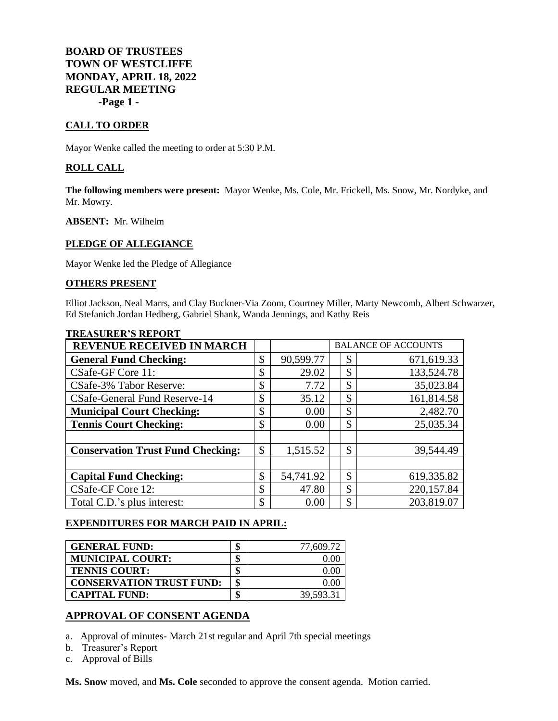**BOARD OF TRUSTEES TOWN OF WESTCLIFFE MONDAY, APRIL 18, 2022 REGULAR MEETING -Page 1 -**

## **CALL TO ORDER**

Mayor Wenke called the meeting to order at 5:30 P.M.

### **ROLL CALL**

**The following members were present:** Mayor Wenke, Ms. Cole, Mr. Frickell, Ms. Snow, Mr. Nordyke, and Mr. Mowry.

**ABSENT:** Mr. Wilhelm

## **PLEDGE OF ALLEGIANCE**

Mayor Wenke led the Pledge of Allegiance

#### **OTHERS PRESENT**

Elliot Jackson, Neal Marrs, and Clay Buckner-Via Zoom, Courtney Miller, Marty Newcomb, Albert Schwarzer, Ed Stefanich Jordan Hedberg, Gabriel Shank, Wanda Jennings, and Kathy Reis

| <b>REVENUE RECEIVED IN MARCH</b>         |                 | <b>BALANCE OF ACCOUNTS</b> |
|------------------------------------------|-----------------|----------------------------|
| <b>General Fund Checking:</b>            | \$<br>90,599.77 | \$<br>671,619.33           |
| CSafe-GF Core 11:                        | \$<br>29.02     | \$<br>133,524.78           |
| CSafe-3% Tabor Reserve:                  | \$<br>7.72      | \$<br>35,023.84            |
| CSafe-General Fund Reserve-14            | \$<br>35.12     | \$<br>161,814.58           |
| <b>Municipal Court Checking:</b>         | \$<br>0.00      | \$<br>2,482.70             |
| <b>Tennis Court Checking:</b>            | \$<br>0.00      | \$<br>25,035.34            |
|                                          |                 |                            |
| <b>Conservation Trust Fund Checking:</b> | \$<br>1,515.52  | \$<br>39,544.49            |
|                                          |                 |                            |
| <b>Capital Fund Checking:</b>            | \$<br>54,741.92 | \$<br>619,335.82           |
| CSafe-CF Core 12:                        | \$<br>47.80     | \$<br>220,157.84           |
| Total C.D.'s plus interest:              | \$<br>0.00      | \$<br>203,819.07           |

#### **TREASURER'S REPORT**

#### **EXPENDITURES FOR MARCH PAID IN APRIL:**

| <b>GENERAL FUND:</b>            | œ<br>Œ | 77,609.72 |
|---------------------------------|--------|-----------|
| <b>MUNICIPAL COURT:</b>         | œ<br>Œ |           |
| <b>TENNIS COURT:</b>            | œ<br>æ |           |
| <b>CONSERVATION TRUST FUND:</b> | \$     |           |
| <b>CAPITAL FUND:</b>            | ¢<br>æ | 39,593.31 |

## **APPROVAL OF CONSENT AGENDA**

- a. Approval of minutes- March 21st regular and April 7th special meetings
- b. Treasurer's Report
- c. Approval of Bills

**Ms. Snow** moved, and **Ms. Cole** seconded to approve the consent agenda. Motion carried.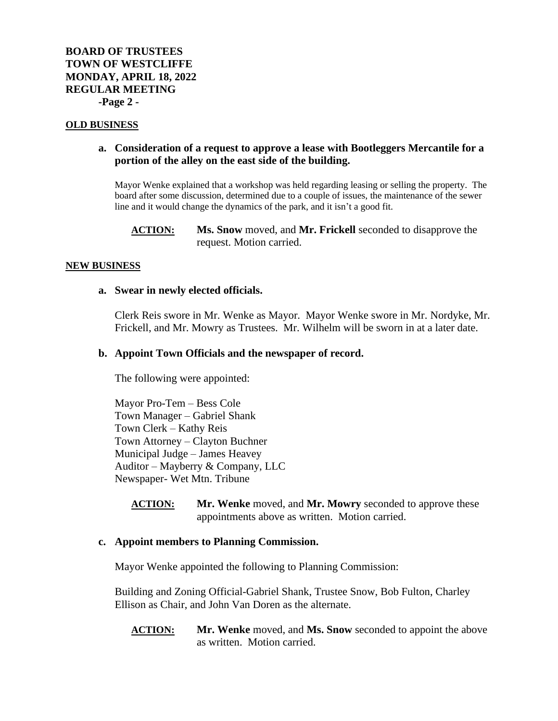### **OLD BUSINESS**

## **a. Consideration of a request to approve a lease with Bootleggers Mercantile for a portion of the alley on the east side of the building.**

Mayor Wenke explained that a workshop was held regarding leasing or selling the property. The board after some discussion, determined due to a couple of issues, the maintenance of the sewer line and it would change the dynamics of the park, and it isn't a good fit.

**ACTION: Ms. Snow** moved, and **Mr. Frickell** seconded to disapprove the request. Motion carried.

#### **NEW BUSINESS**

## **a. Swear in newly elected officials.**

Clerk Reis swore in Mr. Wenke as Mayor. Mayor Wenke swore in Mr. Nordyke, Mr. Frickell, and Mr. Mowry as Trustees. Mr. Wilhelm will be sworn in at a later date.

## **b. Appoint Town Officials and the newspaper of record.**

The following were appointed:

Mayor Pro-Tem – Bess Cole Town Manager – Gabriel Shank Town Clerk – Kathy Reis Town Attorney – Clayton Buchner Municipal Judge – James Heavey Auditor – Mayberry & Company, LLC Newspaper- Wet Mtn. Tribune

**ACTION: Mr. Wenke** moved, and **Mr. Mowry** seconded to approve these appointments above as written. Motion carried.

## **c. Appoint members to Planning Commission.**

Mayor Wenke appointed the following to Planning Commission:

Building and Zoning Official-Gabriel Shank, Trustee Snow, Bob Fulton, Charley Ellison as Chair, and John Van Doren as the alternate.

**ACTION: Mr. Wenke** moved, and **Ms. Snow** seconded to appoint the above as written. Motion carried.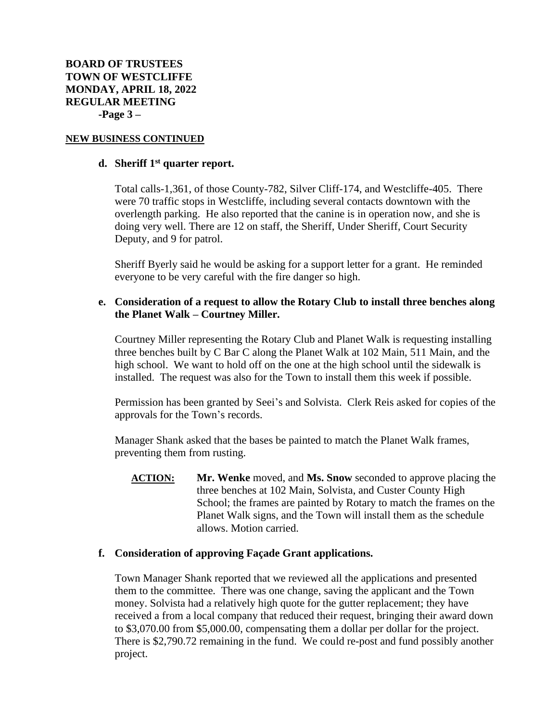**BOARD OF TRUSTEES TOWN OF WESTCLIFFE MONDAY, APRIL 18, 2022 REGULAR MEETING -Page 3 –**

## **NEW BUSINESS CONTINUED**

### **d. Sheriff 1st quarter report.**

Total calls-1,361, of those County-782, Silver Cliff-174, and Westcliffe-405. There were 70 traffic stops in Westcliffe, including several contacts downtown with the overlength parking. He also reported that the canine is in operation now, and she is doing very well. There are 12 on staff, the Sheriff, Under Sheriff, Court Security Deputy, and 9 for patrol.

Sheriff Byerly said he would be asking for a support letter for a grant. He reminded everyone to be very careful with the fire danger so high.

## **e. Consideration of a request to allow the Rotary Club to install three benches along the Planet Walk – Courtney Miller.**

Courtney Miller representing the Rotary Club and Planet Walk is requesting installing three benches built by C Bar C along the Planet Walk at 102 Main, 511 Main, and the high school. We want to hold off on the one at the high school until the sidewalk is installed. The request was also for the Town to install them this week if possible.

Permission has been granted by Seei's and Solvista. Clerk Reis asked for copies of the approvals for the Town's records.

Manager Shank asked that the bases be painted to match the Planet Walk frames, preventing them from rusting.

**ACTION: Mr. Wenke** moved, and **Ms. Snow** seconded to approve placing the three benches at 102 Main, Solvista, and Custer County High School; the frames are painted by Rotary to match the frames on the Planet Walk signs, and the Town will install them as the schedule allows. Motion carried.

# **f. Consideration of approving Façade Grant applications.**

Town Manager Shank reported that we reviewed all the applications and presented them to the committee. There was one change, saving the applicant and the Town money. Solvista had a relatively high quote for the gutter replacement; they have received a from a local company that reduced their request, bringing their award down to \$3,070.00 from \$5,000.00, compensating them a dollar per dollar for the project. There is \$2,790.72 remaining in the fund. We could re-post and fund possibly another project.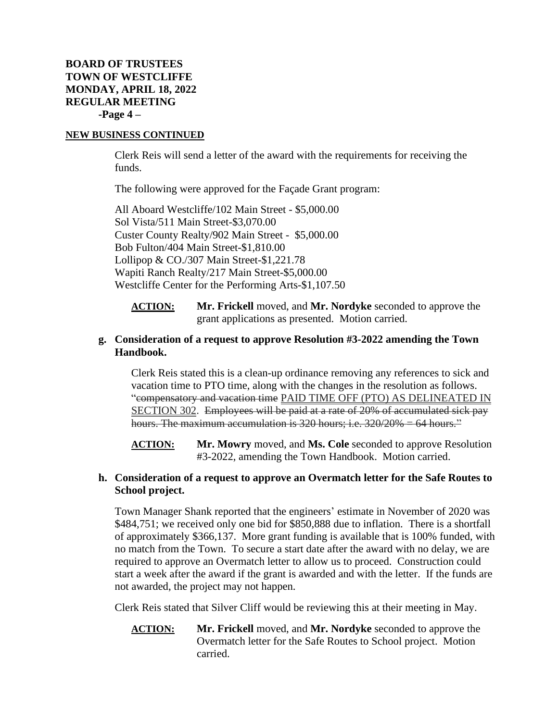# **BOARD OF TRUSTEES TOWN OF WESTCLIFFE MONDAY, APRIL 18, 2022 REGULAR MEETING -Page 4 –**

## **NEW BUSINESS CONTINUED**

Clerk Reis will send a letter of the award with the requirements for receiving the funds.

The following were approved for the Façade Grant program:

All Aboard Westcliffe/102 Main Street - \$5,000.00 Sol Vista/511 Main Street-\$3,070.00 Custer County Realty/902 Main Street - \$5,000.00 Bob Fulton/404 Main Street-\$1,810.00 Lollipop & CO./307 Main Street-\$1,221.78 Wapiti Ranch Realty/217 Main Street-\$5,000.00 Westcliffe Center for the Performing Arts-\$1,107.50

**ACTION: Mr. Frickell** moved, and **Mr. Nordyke** seconded to approve the grant applications as presented. Motion carried.

## **g. Consideration of a request to approve Resolution #3-2022 amending the Town Handbook.**

Clerk Reis stated this is a clean-up ordinance removing any references to sick and vacation time to PTO time, along with the changes in the resolution as follows. "compensatory and vacation time PAID TIME OFF (PTO) AS DELINEATED IN SECTION 302. Employees will be paid at a rate of 20% of accumulated sick pay hours. The maximum accumulation is  $320$  hours; i.e.  $320/20% = 64$  hours."

**ACTION: Mr. Mowry** moved, and **Ms. Cole** seconded to approve Resolution #3-2022, amending the Town Handbook. Motion carried.

## **h. Consideration of a request to approve an Overmatch letter for the Safe Routes to School project.**

Town Manager Shank reported that the engineers' estimate in November of 2020 was \$484,751; we received only one bid for \$850,888 due to inflation. There is a shortfall of approximately \$366,137. More grant funding is available that is 100% funded, with no match from the Town. To secure a start date after the award with no delay, we are required to approve an Overmatch letter to allow us to proceed. Construction could start a week after the award if the grant is awarded and with the letter. If the funds are not awarded, the project may not happen.

Clerk Reis stated that Silver Cliff would be reviewing this at their meeting in May.

**ACTION: Mr. Frickell** moved, and **Mr. Nordyke** seconded to approve the Overmatch letter for the Safe Routes to School project. Motion carried.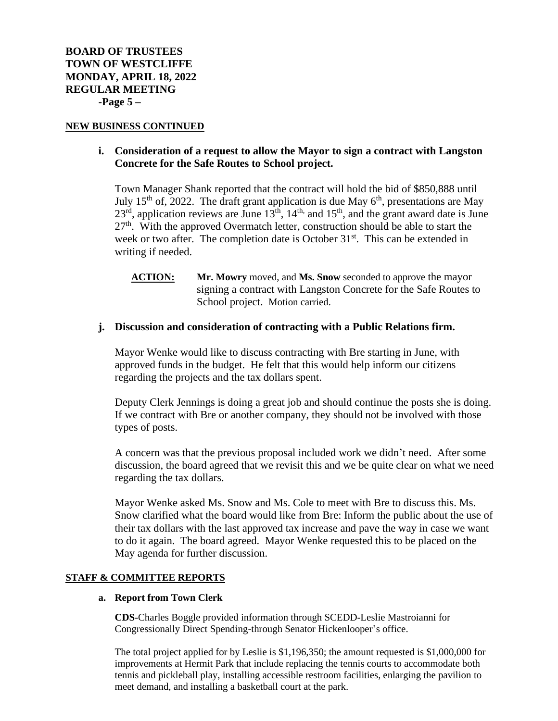#### **NEW BUSINESS CONTINUED**

## **i. Consideration of a request to allow the Mayor to sign a contract with Langston Concrete for the Safe Routes to School project.**

Town Manager Shank reported that the contract will hold the bid of \$850,888 until July 15<sup>th</sup> of, 2022. The draft grant application is due May  $6<sup>th</sup>$ , presentations are May  $23<sup>rd</sup>$ , application reviews are June 13<sup>th</sup>, 14<sup>th,</sup> and 15<sup>th</sup>, and the grant award date is June  $27<sup>th</sup>$ . With the approved Overmatch letter, construction should be able to start the week or two after. The completion date is October  $31<sup>st</sup>$ . This can be extended in writing if needed.

**ACTION: Mr. Mowry** moved, and **Ms. Snow** seconded to approve the mayor signing a contract with Langston Concrete for the Safe Routes to School project. Motion carried.

## **j. Discussion and consideration of contracting with a Public Relations firm.**

Mayor Wenke would like to discuss contracting with Bre starting in June, with approved funds in the budget. He felt that this would help inform our citizens regarding the projects and the tax dollars spent.

Deputy Clerk Jennings is doing a great job and should continue the posts she is doing. If we contract with Bre or another company, they should not be involved with those types of posts.

A concern was that the previous proposal included work we didn't need. After some discussion, the board agreed that we revisit this and we be quite clear on what we need regarding the tax dollars.

Mayor Wenke asked Ms. Snow and Ms. Cole to meet with Bre to discuss this. Ms. Snow clarified what the board would like from Bre: Inform the public about the use of their tax dollars with the last approved tax increase and pave the way in case we want to do it again. The board agreed. Mayor Wenke requested this to be placed on the May agenda for further discussion.

## **STAFF & COMMITTEE REPORTS**

#### **a. Report from Town Clerk**

**CDS**-Charles Boggle provided information through SCEDD-Leslie Mastroianni for Congressionally Direct Spending-through Senator Hickenlooper's office.

The total project applied for by Leslie is \$1,196,350; the amount requested is \$1,000,000 for improvements at Hermit Park that include replacing the tennis courts to accommodate both tennis and pickleball play, installing accessible restroom facilities, enlarging the pavilion to meet demand, and installing a basketball court at the park.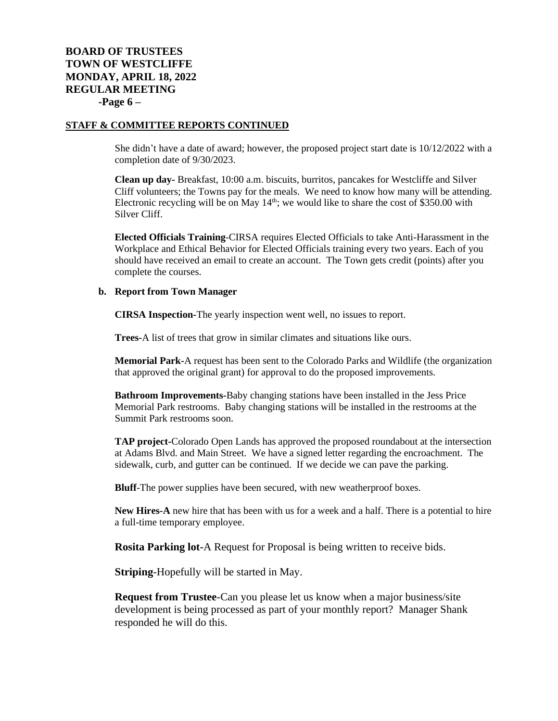# **BOARD OF TRUSTEES TOWN OF WESTCLIFFE MONDAY, APRIL 18, 2022 REGULAR MEETING -Page 6 –**

## **STAFF & COMMITTEE REPORTS CONTINUED**

She didn't have a date of award; however, the proposed project start date is 10/12/2022 with a completion date of 9/30/2023.

**Clean up day-** Breakfast, 10:00 a.m. biscuits, burritos, pancakes for Westcliffe and Silver Cliff volunteers; the Towns pay for the meals. We need to know how many will be attending. Electronic recycling will be on May  $14<sup>th</sup>$ ; we would like to share the cost of \$350.00 with Silver Cliff.

**Elected Officials Training**-CIRSA requires Elected Officials to take Anti-Harassment in the Workplace and Ethical Behavior for Elected Officials training every two years. Each of you should have received an email to create an account. The Town gets credit (points) after you complete the courses.

### **b. Report from Town Manager**

**CIRSA Inspection-**The yearly inspection went well, no issues to report.

**Trees-**A list of trees that grow in similar climates and situations like ours.

**Memorial Park-**A request has been sent to the Colorado Parks and Wildlife (the organization that approved the original grant) for approval to do the proposed improvements.

**Bathroom Improvements-**Baby changing stations have been installed in the Jess Price Memorial Park restrooms. Baby changing stations will be installed in the restrooms at the Summit Park restrooms soon.

**TAP project-**Colorado Open Lands has approved the proposed roundabout at the intersection at Adams Blvd. and Main Street. We have a signed letter regarding the encroachment. The sidewalk, curb, and gutter can be continued. If we decide we can pave the parking.

**Bluff**-The power supplies have been secured, with new weatherproof boxes.

**New Hires-A** new hire that has been with us for a week and a half. There is a potential to hire a full-time temporary employee.

**Rosita Parking lot-**A Request for Proposal is being written to receive bids.

**Striping**-Hopefully will be started in May.

**Request from Trustee**-Can you please let us know when a major business/site development is being processed as part of your monthly report? Manager Shank responded he will do this.